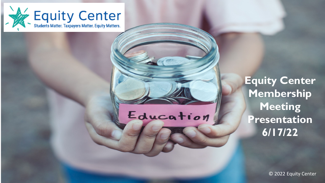

# Education

**Equity Center Membership Meeting Presentation 6/17/22**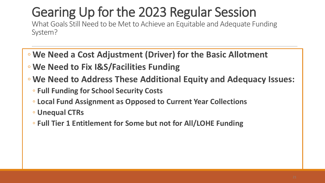## Gearing Up for the 2023 Regular Session

What Goals Still Need to be Met to Achieve an Equitable and Adequate Funding System?

- **We Need a Cost Adjustment (Driver) for the Basic Allotment**
- **We Need to Fix I&S/Facilities Funding**
- **We Need to Address These Additional Equity and Adequacy Issues:**
	- **Full Funding for School Security Costs**
	- **Local Fund Assignment as Opposed to Current Year Collections**
	- **Unequal CTRs**
	- **Full Tier 1 Entitlement for Some but not for All/LOHE Funding**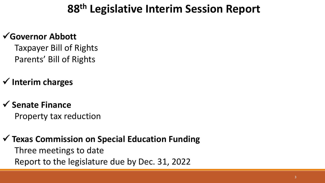## **88th Legislative Interim Session Report**

### **Governor Abbott**

Taxpayer Bill of Rights Parents' Bill of Rights

## **Interim charges**

## **Senate Finance**

Property tax reduction

#### **Texas Commission on Special Education Funding**

Three meetings to date Report to the legislature due by Dec. 31, 2022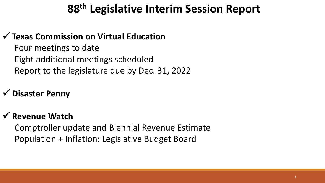## **88th Legislative Interim Session Report**

### **Texas Commission on Virtual Education**

Four meetings to date Eight additional meetings scheduled Report to the legislature due by Dec. 31, 2022

## **Disaster Penny**

#### **Revenue Watch**

Comptroller update and Biennial Revenue Estimate Population + Inflation: Legislative Budget Board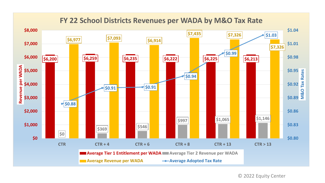

#### **FY 22 School Districts Revenues per WADA by M&O Tax Rate**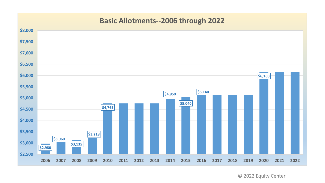#### **Basic Allotments--2006 through 2022**

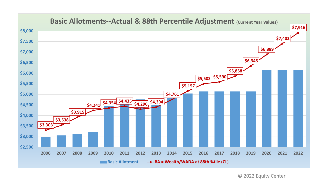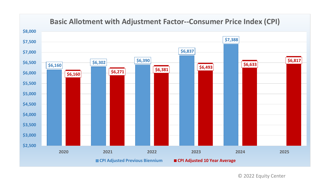

#### **Basic Allotment with Adjustment Factor--Consumer Price Index (CPI)**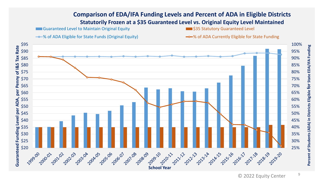#### **Comparison of EDA/IFA Funding Levels and Percent of ADA in Eligible Districts Statutorily Frozen at a \$35 Guaranteed Level vs. Original Equity Level Maintained**

**Guaranteed Level to Maintain Original Equity Access 2018 12:35 Statutory Guaranteed Level** 

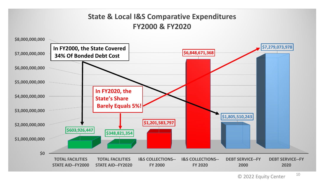#### **State & Local I&S Comparative Expenditures FY2000 & FY2020**

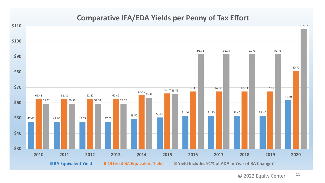#### **Comparative IFA/EDA Yields per Penny of Tax Effort**

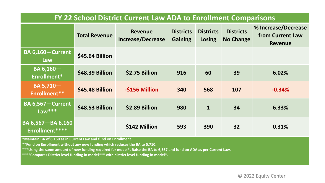| FY 22 School District Current Law ADA to Enrollment Comparisons |                        |                                            |                                    |                            |                                      |                                                           |
|-----------------------------------------------------------------|------------------------|--------------------------------------------|------------------------------------|----------------------------|--------------------------------------|-----------------------------------------------------------|
|                                                                 | <b>Total Revenue</b>   | <b>Revenue</b><br><b>Increase/Decrease</b> | <b>Districts</b><br><b>Gaining</b> | <b>Districts</b><br>Losing | <b>Districts</b><br><b>No Change</b> | % Increase/Decrease<br>from Current Law<br><b>Revenue</b> |
| <b>BA 6,160-Current</b><br>Law                                  | <b>\$45.64 Billion</b> |                                            |                                    |                            |                                      |                                                           |
| BA 6,160-<br>Enrollment*                                        | \$48.39 Billion        | \$2.75 Billion                             | 916                                | 60                         | 39                                   | 6.02%                                                     |
| BA 5,710-<br>Enrollment**                                       | \$45.48 Billion        | -\$156 Million                             | 340                                | 568                        | 107                                  | $-0.34%$                                                  |
| <b>BA 6,567-Current</b><br>Law $***$                            | \$48.53 Billion        | \$2.89 Billion                             | 980                                | $\mathbf{1}$               | 34                                   | 6.33%                                                     |
| <b>BA 6,567-BA 6,160</b><br>Enrollment****                      |                        | \$142 Million                              | 593                                | 390                        | 32                                   | 0.31%                                                     |

**\*Maintain BA of 6,160 as in Current Law and fund on Enrollment.**

**\*\*Fund on Enrollment without any new funding which reduces the BA to 5,710.**

**\*\*\*Using the same amount of new funding required for model\*, Raise the BA to 6,567 and fund on ADA as per Current Law.**

**\*\*\*\*Compares District level funding in model\*\*\* with district level funding in model\*.**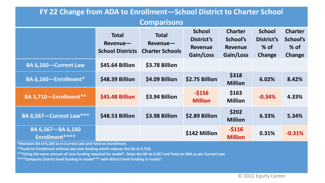| FY 22 Change from ADA to Enrollment-School District to Charter School                                    |                                                     |                                                    |                                                            |                                                           |                                                 |                                                       |  |
|----------------------------------------------------------------------------------------------------------|-----------------------------------------------------|----------------------------------------------------|------------------------------------------------------------|-----------------------------------------------------------|-------------------------------------------------|-------------------------------------------------------|--|
| <b>Comparisons</b>                                                                                       |                                                     |                                                    |                                                            |                                                           |                                                 |                                                       |  |
|                                                                                                          | <b>Total</b><br>Revenue-<br><b>School Districts</b> | <b>Total</b><br>Revenue-<br><b>Charter Schools</b> | <b>School</b><br>District's<br><b>Revenue</b><br>Gain/Loss | <b>Charter</b><br>School's<br><b>Revenue</b><br>Gain/Loss | <b>School</b><br>District's<br>$%$ of<br>Change | <b>Charter</b><br>School's<br>$%$ of<br><b>Change</b> |  |
| <b>BA 6,160-Current Law</b>                                                                              | \$45.64 Billion                                     | \$3.78 Billion                                     |                                                            |                                                           |                                                 |                                                       |  |
| BA 6,160-Enrollment*                                                                                     | \$48.39 Billion                                     | \$4.09 Billion                                     | \$2.75 Billion                                             | \$318<br><b>Million</b>                                   | 6.02%                                           | 8.42%                                                 |  |
| BA 5,710-Enrollment**                                                                                    | \$45.48 Billion                                     | \$3.94 Billion                                     | $-$156$<br><b>Million</b>                                  | \$163<br><b>Million</b>                                   | $-0.34%$                                        | 4.33%                                                 |  |
| <b>BA 6,567-Current Law***</b>                                                                           | \$48.53 Billion                                     | \$3.98 Billion                                     | \$2.89 Billion                                             | \$202<br><b>Million</b>                                   | 6.33%                                           | 5.34%                                                 |  |
| BA 6,567-BA 6,160<br>Enrollment****<br>$*$ Maintain BA of 6.160 as in Curront Law and fund on Enrollmont |                                                     |                                                    | \$142 Million                                              | $-5116$<br><b>Million</b>                                 | 0.31%                                           | $-0.31%$                                              |  |

**\*Maintain BA of 6,160 as in Current Law and fund on Enrollment.**

**\*\*Fund on Enrollment without any new funding which reduces the BA to 5,710.**

**\*\*\*Using the same amount of new funding required for model\*, Raise the BA to 6,567 and fund on ADA as per Current Law.**

**\*\*\*\*Compares District level funding in model\*\*\* with district level funding in model\*.**